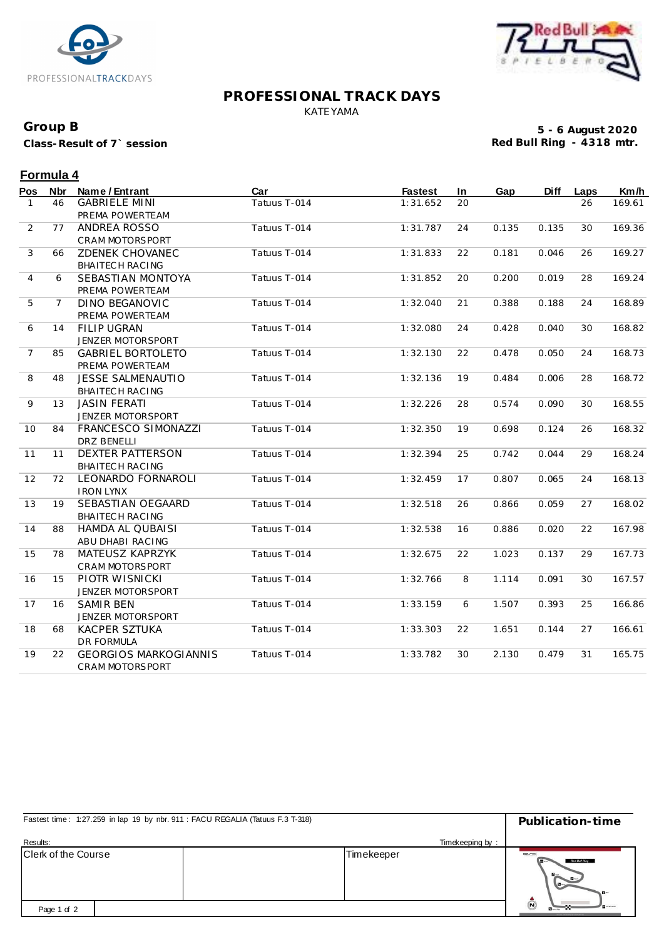



#### **PROFESSIONAL TRACK DAYS** KATEYAMA

## **Group B**

**Class-Result of 7` session**

**5 - 6 August 2020 Red Bull Ring - 4318 mtr.**

# **Formula 4**<br>Bos Nbr No

| Pos            | <b>Nbr</b>     | Name / Entrant               | Car          | <b>Fastest</b> | In | Gap   | <b>Diff</b> | Laps | Km/h   |
|----------------|----------------|------------------------------|--------------|----------------|----|-------|-------------|------|--------|
| $\mathbf{1}$   | 46             | <b>GABRIELE MINI</b>         | Tatuus T-014 | 1:31.652       | 20 |       |             | 26   | 169.61 |
|                |                | PREMA POWERTEAM              |              |                |    |       |             |      |        |
| 2              | 77             | ANDREA ROSSO                 | Tatuus T-014 | 1:31.787       | 24 | 0.135 | 0.135       | 30   | 169.36 |
|                |                | CRAM MOTORSPORT              |              |                |    |       |             |      |        |
| 3              | 66             | <b>ZDENEK CHOVANEC</b>       | Tatuus T-014 | 1:31.833       | 22 | 0.181 | 0.046       | 26   | 169.27 |
|                |                | BHAITECH RACING              |              |                |    |       |             |      |        |
| 4              | 6              | SEBASTIAN MONTOYA            | Tatuus T-014 | 1:31.852       | 20 | 0.200 | 0.019       | 28   | 169.24 |
|                |                | PREMA POWERTEAM              |              |                |    |       |             |      |        |
| 5              | $\overline{7}$ | <b>DINO BEGANOVIC</b>        | Tatuus T-014 | 1:32.040       | 21 | 0.388 | 0.188       | 24   | 168.89 |
|                |                | PREMA POWERTEAM              |              |                |    |       |             |      |        |
| 6              | 14             | <b>FILIP UGRAN</b>           | Tatuus T-014 | 1:32.080       | 24 | 0.428 | 0.040       | 30   | 168.82 |
|                |                | JENZER MOTORSPORT            |              |                |    |       |             |      |        |
| $\overline{7}$ | 85             | <b>GABRIEL BORTOLETO</b>     | Tatuus T-014 | 1:32.130       | 22 | 0.478 | 0.050       | 24   | 168.73 |
|                |                | PREMA POWERTEAM              |              |                |    |       |             |      |        |
| 8              | 48             | <b>JESSE SALMENAUTIO</b>     | Tatuus T-014 | 1:32.136       | 19 | 0.484 | 0.006       | 28   | 168.72 |
|                |                | BHAITECH RACING              |              |                |    |       |             |      |        |
| 9              | 13             | <b>JASIN FERATI</b>          | Tatuus T-014 | 1:32.226       | 28 | 0.574 | 0.090       | 30   | 168.55 |
|                |                | JENZER MOTORSPORT            |              |                |    |       |             |      |        |
| 10             | 84             | FRANCESCO SIMONAZZI          | Tatuus T-014 | 1:32.350       | 19 | 0.698 | 0.124       | 26   | 168.32 |
|                |                | <b>DRZ BENELLI</b>           |              |                |    |       |             |      |        |
| 11             | 11             | <b>DEXTER PATTERSON</b>      | Tatuus T-014 | 1:32.394       | 25 | 0.742 | 0.044       | 29   | 168.24 |
|                |                | BHAITECH RACING              |              |                |    |       |             |      |        |
| 12             | 72             | LEONARDO FORNAROLI           | Tatuus T-014 | 1:32.459       | 17 | 0.807 | 0.065       | 24   | 168.13 |
|                |                | <b>IRON LYNX</b>             |              |                |    |       |             |      |        |
| 13             | 19             | SEBASTIAN OEGAARD            | Tatuus T-014 | 1:32.518       | 26 | 0.866 | 0.059       | 27   | 168.02 |
|                |                | BHAITECH RACING              |              |                |    |       |             |      |        |
| 14             | 88             | <b>HAMDA AL QUBAISI</b>      | Tatuus T-014 | 1:32.538       | 16 | 0.886 | 0.020       | 22   | 167.98 |
|                |                | ABU DHABI RACING             |              |                |    |       |             |      |        |
| 15             | 78             | MATEUSZ KAPRZYK              | Tatuus T-014 | 1:32.675       | 22 | 1.023 | 0.137       | 29   | 167.73 |
|                |                | CRAM MOTORSPORT              |              |                |    |       |             |      |        |
| 16             | 15             | PIOTR WISNICKI               | Tatuus T-014 | 1:32.766       | 8  | 1.114 | 0.091       | 30   | 167.57 |
|                |                | JENZER MOTORSPORT            |              |                |    |       |             |      |        |
| 17             | 16             | <b>SAMIR BEN</b>             | Tatuus T-014 | 1:33.159       | 6  | 1.507 | 0.393       | 25   | 166.86 |
|                |                | JENZER MOTORSPORT            |              |                |    |       |             |      |        |
| 18             | 68             | <b>KACPER SZTUKA</b>         | Tatuus T-014 | 1:33.303       | 22 | 1.651 | 0.144       | 27   | 166.61 |
|                |                | <b>DR FORMULA</b>            |              |                |    |       |             |      |        |
| 19             | 22             | <b>GEORGIOS MARKOGIANNIS</b> | Tatuus T-014 | 1:33.782       | 30 | 2.130 | 0.479       | 31   | 165.75 |
|                |                | <b>CRAM MOTORSPORT</b>       |              |                |    |       |             |      |        |

| Fastest time: 1:27.259 in lap 19 by nbr. 911 : FACU REGALIA (Tatuus F.3 T-318) | Publication-time |                                     |  |
|--------------------------------------------------------------------------------|------------------|-------------------------------------|--|
| Results:                                                                       | Timekeeping by:  |                                     |  |
| Clerk of the Course                                                            | Timekeeper       | erc<br>Red But Ring<br>$\mathbf{B}$ |  |
| Page 1 of 2                                                                    |                  | Ċ                                   |  |